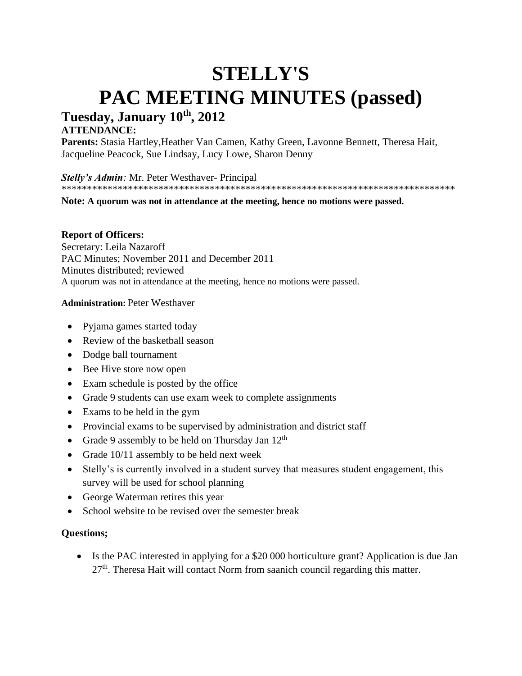# **STELLY'S PAC MEETING MINUTES (passed) Tuesday, January 10th, 2012**

# **ATTENDANCE:**

Parents: Stasia Hartley, Heather Van Camen, Kathy Green, Lavonne Bennett, Theresa Hait, Jacqueline Peacock, Sue Lindsay, Lucy Lowe, Sharon Denny

*Stelly's Admin:* Mr. Peter Westhaver- Principal

\*\*\*\*\*\*\*\*\*\*\*\*\*\*\*\*\*\*\*\*\*\*\*\*\*\*\*\*\*\*\*\*\*\*\*\*\*\*\*\*\*\*\*\*\*\*\*\*\*\*\*\*\*\*\*\*\*\*\*\*\*\*\*\*\*\*\*\*\*\*\*\*\*\*\*\*\*

**Note: A quorum was not in attendance at the meeting, hence no motions were passed.**

# **Report of Officers:**

Secretary: Leila Nazaroff PAC Minutes; November 2011 and December 2011 Minutes distributed; reviewed A quorum was not in attendance at the meeting, hence no motions were passed.

#### **Administration:** Peter Westhaver

- Pyjama games started today
- Review of the basketball season
- Dodge ball tournament
- Bee Hive store now open
- Exam schedule is posted by the office
- Grade 9 students can use exam week to complete assignments
- Exams to be held in the gym
- Provincial exams to be supervised by administration and district staff
- Grade 9 assembly to be held on Thursday Jan  $12<sup>th</sup>$
- Grade 10/11 assembly to be held next week
- Stelly's is currently involved in a student survey that measures student engagement, this survey will be used for school planning
- George Waterman retires this year
- School website to be revised over the semester break

# **Questions;**

• Is the PAC interested in applying for a \$20 000 horticulture grant? Application is due Jan  $27<sup>th</sup>$ . Theresa Hait will contact Norm from saanich council regarding this matter.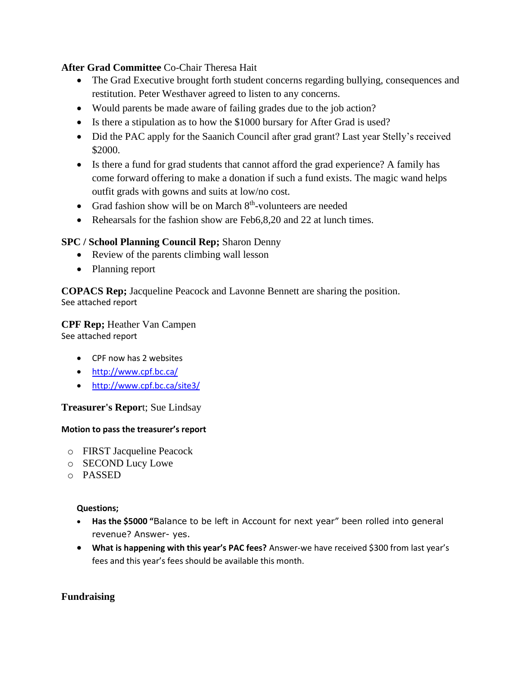# **After Grad Committee** Co-Chair Theresa Hait

- The Grad Executive brought forth student concerns regarding bullying, consequences and restitution. Peter Westhaver agreed to listen to any concerns.
- Would parents be made aware of failing grades due to the job action?
- Is there a stipulation as to how the \$1000 bursary for After Grad is used?
- Did the PAC apply for the Saanich Council after grad grant? Last year Stelly's received \$2000.
- Is there a fund for grad students that cannot afford the grad experience? A family has come forward offering to make a donation if such a fund exists. The magic wand helps outfit grads with gowns and suits at low/no cost.
- Grad fashion show will be on March  $8<sup>th</sup>$ -volunteers are needed
- Rehearsals for the fashion show are Feb6,8,20 and 22 at lunch times.

# **SPC / School Planning Council Rep;** Sharon Denny

- Review of the parents climbing wall lesson
- Planning report

**COPACS Rep;** Jacqueline Peacock and Lavonne Bennett are sharing the position. See attached report

# **CPF Rep;** Heather Van Campen

See attached report

- CPF now has 2 websites
- <http://www.cpf.bc.ca/>
- <http://www.cpf.bc.ca/site3/>

# **Treasurer's Repor**t; Sue Lindsay

#### **Motion to pass the treasurer's report**

- o FIRST Jacqueline Peacock
- o SECOND Lucy Lowe
- o PASSED

#### **Questions;**

- **Has the \$5000 "**Balance to be left in Account for next year" been rolled into general revenue? Answer- yes.
- **What is happening with this year's PAC fees?** Answer-we have received \$300 from last year's fees and this year's fees should be available this month.

# **Fundraising**